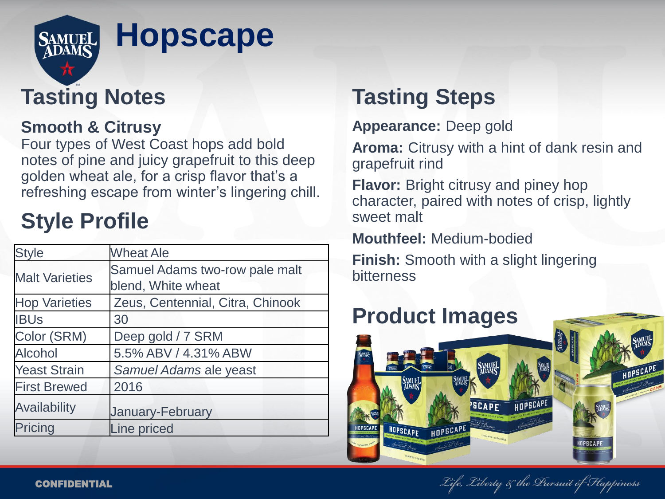

## **Tasting Notes**

### **Smooth & Citrusy**

Four types of West Coast hops add bold notes of pine and juicy grapefruit to this deep golden wheat ale, for a crisp flavor that's a refreshing escape from winter's lingering chill.

# **Style Profile**

| <b>Style</b>          | <b>Wheat Ale</b>                                     |
|-----------------------|------------------------------------------------------|
| <b>Malt Varieties</b> | Samuel Adams two-row pale malt<br>blend, White wheat |
| <b>Hop Varieties</b>  | Zeus, Centennial, Citra, Chinook                     |
| <b>IBUs</b>           | 30                                                   |
| Color (SRM)           | Deep gold / 7 SRM                                    |
| <b>Alcohol</b>        | 5.5% ABV / 4.31% ABW                                 |
| <b>Yeast Strain</b>   | Samuel Adams ale yeast                               |
| <b>First Brewed</b>   | 2016                                                 |
| <b>Availability</b>   | <b>January-February</b>                              |
| Pricing               | Line priced                                          |

## **Tasting Steps**

**Appearance:** Deep gold

**Aroma:** Citrusy with a hint of dank resin and grapefruit rind

**Flavor:** Bright citrusy and piney hop character, paired with notes of crisp, lightly sweet malt

**Mouthfeel:** Medium-bodied

**Finish:** Smooth with a slight lingering bitterness



Life, Liberty & the Dursuit of Ftappiness